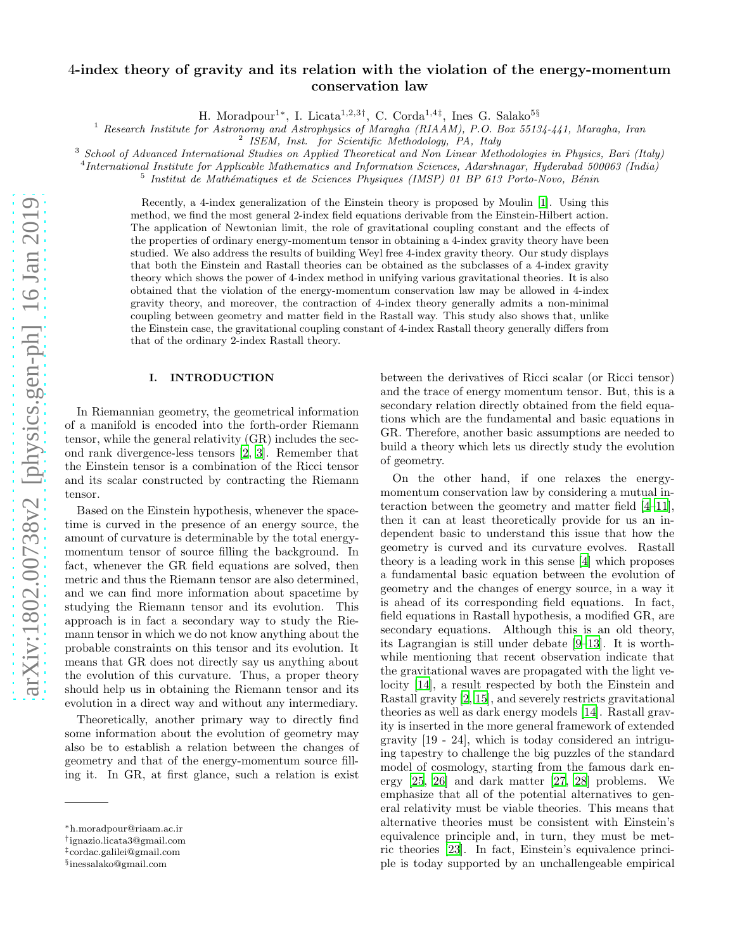# 4-index theory of gravity and its relation with the violation of the energy-momentum conservation law

H. Moradpour1<sup>∗</sup> , I. Licata1,2,3† , C. Corda1,4‡ , Ines G. Salako5§

<sup>1</sup> Research Institute for Astronomy and Astrophysics of Maragha (RIAAM), P.O. Box 55134-441, Maragha, Iran

2 ISEM, Inst. for Scientific Methodology, PA, Italy

 $3$  School of Advanced International Studies on Applied Theoretical and Non Linear Methodologies in Physics, Bari (Italy)

<sup>4</sup>International Institute for Applicable Mathematics and Information Sciences, Adarshnagar, Hyderabad 500063 (India)

<sup>5</sup> Institut de Mathématiques et de Sciences Physiques (IMSP) 01 BP 613 Porto-Novo, Bénin

Recently, a 4-index generalization of the Einstein theory is proposed by Moulin [\[1](#page-6-0)]. Using this method, we find the most general 2-index field equations derivable from the Einstein-Hilbert action. The application of Newtonian limit, the role of gravitational coupling constant and the effects of the properties of ordinary energy-momentum tensor in obtaining a 4-index gravity theory have been studied. We also address the results of building Weyl free 4-index gravity theory. Our study displays that both the Einstein and Rastall theories can be obtained as the subclasses of a 4-index gravity theory which shows the power of 4-index method in unifying various gravitational theories. It is also obtained that the violation of the energy-momentum conservation law may be allowed in 4-index gravity theory, and moreover, the contraction of 4-index theory generally admits a non-minimal coupling between geometry and matter field in the Rastall way. This study also shows that, unlike the Einstein case, the gravitational coupling constant of 4-index Rastall theory generally differs from that of the ordinary 2-index Rastall theory.

# I. INTRODUCTION

In Riemannian geometry, the geometrical information of a manifold is encoded into the forth-order Riemann tensor, while the general relativity (GR) includes the second rank divergence-less tensors [\[2](#page-6-1), [3\]](#page-6-2). Remember that the Einstein tensor is a combination of the Ricci tensor and its scalar constructed by contracting the Riemann tensor.

Based on the Einstein hypothesis, whenever the spacetime is curved in the presence of an energy source, the amount of curvature is determinable by the total energymomentum tensor of source filling the background. In fact, whenever the GR field equations are solved, then metric and thus the Riemann tensor are also determined, and we can find more information about spacetime by studying the Riemann tensor and its evolution. This approach is in fact a secondary way to study the Riemann tensor in which we do not know anything about the probable constraints on this tensor and its evolution. It means that GR does not directly say us anything about the evolution of this curvature. Thus, a proper theory should help us in obtaining the Riemann tensor and its evolution in a direct way and without any intermediary.

Theoretically, another primary way to directly find some information about the evolution of geometry may also be to establish a relation between the changes of geometry and that of the energy-momentum source filling it. In GR, at first glance, such a relation is exist

between the derivatives of Ricci scalar (or Ricci tensor) and the trace of energy momentum tensor. But, this is a secondary relation directly obtained from the field equations which are the fundamental and basic equations in GR. Therefore, another basic assumptions are needed to build a theory which lets us directly study the evolution of geometry.

On the other hand, if one relaxes the energymomentum conservation law by considering a mutual interaction between the geometry and matter field [\[4](#page-6-3)[–11\]](#page-6-4), then it can at least theoretically provide for us an independent basic to understand this issue that how the geometry is curved and its curvature evolves. Rastall theory is a leading work in this sense [\[4\]](#page-6-3) which proposes a fundamental basic equation between the evolution of geometry and the changes of energy source, in a way it is ahead of its corresponding field equations. In fact, field equations in Rastall hypothesis, a modified GR, are secondary equations. Although this is an old theory, its Lagrangian is still under debate [\[9](#page-6-5)[–13\]](#page-6-6). It is worthwhile mentioning that recent observation indicate that the gravitational waves are propagated with the light velocity [\[14\]](#page-6-7), a result respected by both the Einstein and Rastall gravity [\[2,](#page-6-1) [15\]](#page-7-0), and severely restricts gravitational theories as well as dark energy models [\[14\]](#page-6-7). Rastall gravity is inserted in the more general framework of extended gravity [19 - 24], which is today considered an intriguing tapestry to challenge the big puzzles of the standard model of cosmology, starting from the famous dark energy [\[25](#page-7-1), [26\]](#page-7-2) and dark matter [\[27](#page-7-3), [28\]](#page-7-4) problems. We emphasize that all of the potential alternatives to general relativity must be viable theories. This means that alternative theories must be consistent with Einstein's equivalence principle and, in turn, they must be metric theories [\[23\]](#page-7-5). In fact, Einstein's equivalence principle is today supported by an unchallengeable empirical

<sup>∗</sup>h.moradpour@riaam.ac.ir

<sup>†</sup> ignazio.licata3@gmail.com

<sup>‡</sup> cordac.galilei@gmail.com

<sup>§</sup> inessalako@gmail.com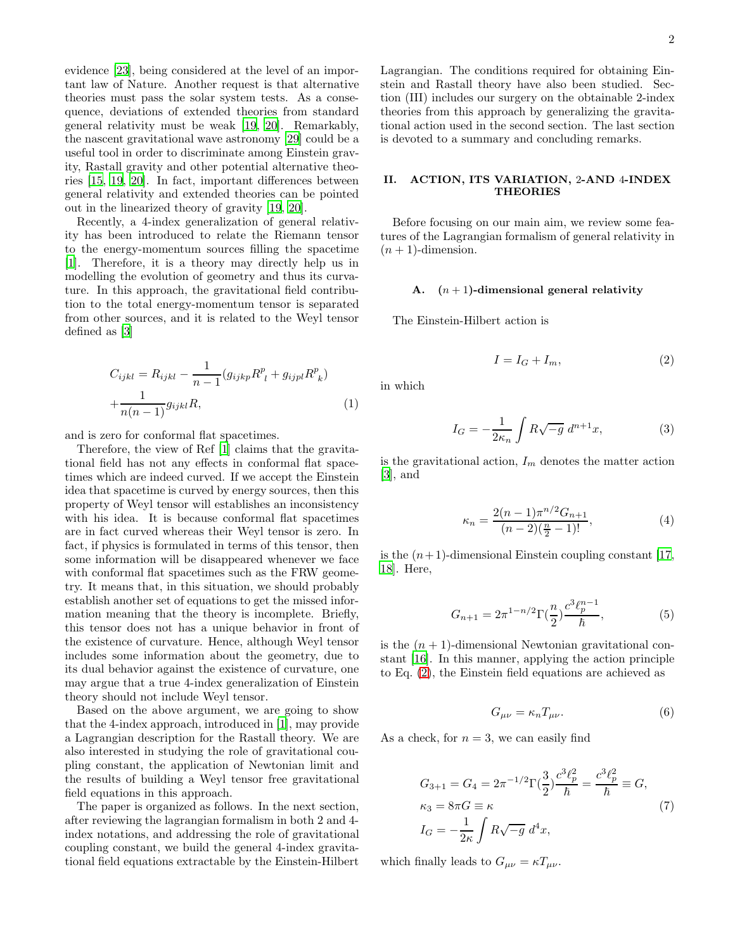evidence [\[23](#page-7-5)], being considered at the level of an important law of Nature. Another request is that alternative theories must pass the solar system tests. As a consequence, deviations of extended theories from standard general relativity must be weak [\[19,](#page-7-6) [20\]](#page-7-7). Remarkably, the nascent gravitational wave astronomy [\[29](#page-7-8)] could be a useful tool in order to discriminate among Einstein gravity, Rastall gravity and other potential alternative theories [\[15,](#page-7-0) [19](#page-7-6), [20](#page-7-7)]. In fact, important differences between general relativity and extended theories can be pointed out in the linearized theory of gravity [\[19,](#page-7-6) [20\]](#page-7-7).

Recently, a 4-index generalization of general relativity has been introduced to relate the Riemann tensor to the energy-momentum sources filling the spacetime [\[1\]](#page-6-0). Therefore, it is a theory may directly help us in modelling the evolution of geometry and thus its curvature. In this approach, the gravitational field contribution to the total energy-momentum tensor is separated from other sources, and it is related to the Weyl tensor defined as [\[3](#page-6-2)]

<span id="page-1-4"></span>
$$
C_{ijkl} = R_{ijkl} - \frac{1}{n-1} (g_{ijkp} R^p_{\ l} + g_{ijpl} R^p_{\ k}) + \frac{1}{n(n-1)} g_{ijkl} R,
$$
\n(1)

and is zero for conformal flat spacetimes.

Therefore, the view of Ref [\[1\]](#page-6-0) claims that the gravitational field has not any effects in conformal flat spacetimes which are indeed curved. If we accept the Einstein idea that spacetime is curved by energy sources, then this property of Weyl tensor will establishes an inconsistency with his idea. It is because conformal flat spacetimes are in fact curved whereas their Weyl tensor is zero. In fact, if physics is formulated in terms of this tensor, then some information will be disappeared whenever we face with conformal flat spacetimes such as the FRW geometry. It means that, in this situation, we should probably establish another set of equations to get the missed information meaning that the theory is incomplete. Briefly, this tensor does not has a unique behavior in front of the existence of curvature. Hence, although Weyl tensor includes some information about the geometry, due to its dual behavior against the existence of curvature, one may argue that a true 4-index generalization of Einstein theory should not include Weyl tensor.

Based on the above argument, we are going to show that the 4-index approach, introduced in [\[1\]](#page-6-0), may provide a Lagrangian description for the Rastall theory. We are also interested in studying the role of gravitational coupling constant, the application of Newtonian limit and the results of building a Weyl tensor free gravitational field equations in this approach.

The paper is organized as follows. In the next section, after reviewing the lagrangian formalism in both 2 and 4 index notations, and addressing the role of gravitational coupling constant, we build the general 4-index gravitational field equations extractable by the Einstein-Hilbert

Lagrangian. The conditions required for obtaining Einstein and Rastall theory have also been studied. Section (III) includes our surgery on the obtainable 2-index theories from this approach by generalizing the gravitational action used in the second section. The last section is devoted to a summary and concluding remarks.

## II. ACTION, ITS VARIATION, 2-AND 4-INDEX **THEORIES**

Before focusing on our main aim, we review some features of the Lagrangian formalism of general relativity in  $(n + 1)$ -dimension.

## A.  $(n+1)$ -dimensional general relativity

The Einstein-Hilbert action is

<span id="page-1-0"></span>
$$
I = I_G + I_m,\t\t(2)
$$

in which

<span id="page-1-3"></span>
$$
I_G = -\frac{1}{2\kappa_n} \int R\sqrt{-g} \, d^{n+1}x,\tag{3}
$$

is the gravitational action,  $I_m$  denotes the matter action [\[3\]](#page-6-2), and

<span id="page-1-2"></span>
$$
\kappa_n = \frac{2(n-1)\pi^{n/2}G_{n+1}}{(n-2)(\frac{n}{2}-1)!},\tag{4}
$$

is the  $(n+1)$ -dimensional Einstein coupling constant [\[17](#page-7-9), [18\]](#page-7-10). Here,

$$
G_{n+1} = 2\pi^{1-n/2} \Gamma\left(\frac{n}{2}\right) \frac{c^3 \ell_p^{n-1}}{\hbar},\tag{5}
$$

is the  $(n + 1)$ -dimensional Newtonian gravitational constant [\[16](#page-7-11)]. In this manner, applying the action principle to Eq. [\(2\)](#page-1-0), the Einstein field equations are achieved as

<span id="page-1-1"></span>
$$
G_{\mu\nu} = \kappa_n T_{\mu\nu}.\tag{6}
$$

As a check, for  $n = 3$ , we can easily find

$$
G_{3+1} = G_4 = 2\pi^{-1/2} \Gamma(\frac{3}{2}) \frac{c^3 \ell_p^2}{\hbar} = \frac{c^3 \ell_p^2}{\hbar} \equiv G,
$$
  
\n
$$
\kappa_3 = 8\pi G \equiv \kappa
$$
  
\n
$$
I_G = -\frac{1}{2\kappa} \int R\sqrt{-g} \, d^4 x,
$$
\n(7)

which finally leads to  $G_{\mu\nu} = \kappa T_{\mu\nu}$ .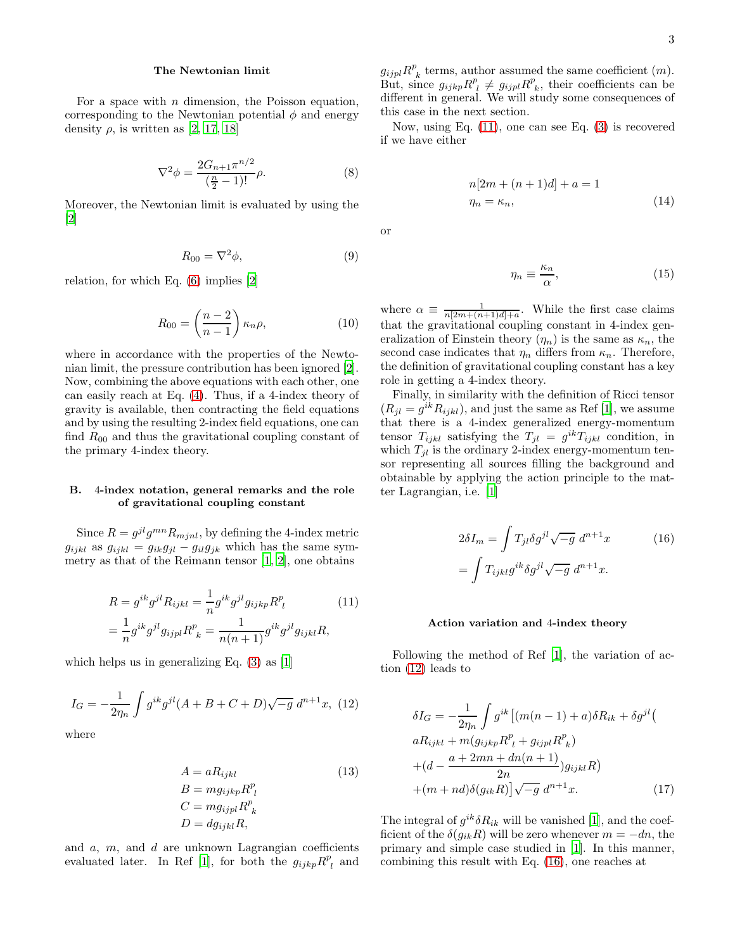### <span id="page-2-3"></span>The Newtonian limit

For a space with  $n$  dimension, the Poisson equation, corresponding to the Newtonian potential  $\phi$  and energy density  $\rho$ , is written as [\[2,](#page-6-1) [17,](#page-7-9) [18\]](#page-7-10)

$$
\nabla^2 \phi = \frac{2G_{n+1} \pi^{n/2}}{\left(\frac{n}{2} - 1\right)!} \rho.
$$
 (8)

Moreover, the Newtonian limit is evaluated by using the [\[2\]](#page-6-1)

$$
R_{00} = \nabla^2 \phi,\tag{9}
$$

relation, for which Eq. [\(6\)](#page-1-1) implies [\[2\]](#page-6-1)

$$
R_{00} = \left(\frac{n-2}{n-1}\right) \kappa_n \rho, \tag{10}
$$

where in accordance with the properties of the Newtonian limit, the pressure contribution has been ignored [\[2\]](#page-6-1). Now, combining the above equations with each other, one can easily reach at Eq. [\(4\)](#page-1-2). Thus, if a 4-index theory of gravity is available, then contracting the field equations and by using the resulting 2-index field equations, one can find  $R_{00}$  and thus the gravitational coupling constant of the primary 4-index theory.

### B. 4-index notation, general remarks and the role of gravitational coupling constant

Since  $R = g^{jl}g^{mn}R_{mjnl}$ , by defining the 4-index metric  $g_{ijkl}$  as  $g_{ijkl} = g_{ik}g_{jl} - g_{il}g_{jk}$  which has the same symmetry as that of the Reimann tensor  $[1, 2]$  $[1, 2]$  $[1, 2]$ , one obtains

<span id="page-2-0"></span>
$$
R = g^{ik}g^{jl}R_{ijkl} = \frac{1}{n}g^{ik}g^{jl}g_{ijkp}R^{p}_{\ l} \qquad (11)
$$

$$
= \frac{1}{n}g^{ik}g^{jl}g_{ijpl}R^{p}_{\ k} = \frac{1}{n(n+1)}g^{ik}g^{jl}g_{ijkl}R,
$$

which helps us in generalizing Eq. [\(3\)](#page-1-3) as [\[1](#page-6-0)]

<span id="page-2-1"></span>
$$
I_G = -\frac{1}{2\eta_n} \int g^{ik} g^{jl} (A + B + C + D) \sqrt{-g} \, d^{n+1} x, \tag{12}
$$

where

<span id="page-2-7"></span>
$$
A = aR_{ijkl} \tag{13}
$$
  
\n
$$
B = mg_{ijkp}R_l^p
$$
  
\n
$$
C = mg_{ijpl}R_k^p
$$
  
\n
$$
D = dg_{ijkl}R,
$$

and  $a, m$ , and  $d$  are unknown Lagrangian coefficients evaluated later. In Ref [\[1\]](#page-6-0), for both the  $g_{ijkp}R_{l}^{p}$  and

 $g_{ijpl}R^p_{\ k}$  terms, author assumed the same coefficient  $(m)$ .  $g_{ijp}$   $\mu$   $\kappa$  k eerins, althor assumed the same coefficients  $(m)$ .<br>But, since  $g_{ijkp}R^{p}_{\ l} \neq g_{ijpl}R^{p}_{\ k}$ , their coefficients can be different in general. We will study some consequences of this case in the next section.

Now, using Eq. [\(11\)](#page-2-0), one can see Eq. [\(3\)](#page-1-3) is recovered if we have either

<span id="page-2-5"></span>
$$
n[2m + (n+1)d] + a = 1
$$
  
\n
$$
\eta_n = \kappa_n,
$$
\n(14)

or

<span id="page-2-4"></span>
$$
\eta_n \equiv \frac{\kappa_n}{\alpha},\tag{15}
$$

where  $\alpha \equiv \frac{1}{n[2m+(n+1)d]+a}$ . While the first case claims that the gravitational coupling constant in 4-index generalization of Einstein theory  $(\eta_n)$  is the same as  $\kappa_n$ , the second case indicates that  $\eta_n$  differs from  $\kappa_n$ . Therefore, the definition of gravitational coupling constant has a key role in getting a 4-index theory.

Finally, in similarity with the definition of Ricci tensor  $(R_{jl} = g^{ik} R_{ijkl})$ , and just the same as Ref [\[1](#page-6-0)], we assume that there is a 4-index generalized energy-momentum tensor  $T_{ijkl}$  satisfying the  $T_{jl} = g^{ik}T_{ijkl}$  condition, in which  $T_{jl}$  is the ordinary 2-index energy-momentum tensor representing all sources filling the background and obtainable by applying the action principle to the matter Lagrangian, i.e. [\[1](#page-6-0)]

<span id="page-2-2"></span>
$$
2\delta I_m = \int T_{jl}\delta g^{jl}\sqrt{-g} \, d^{n+1}x \tag{16}
$$
\n
$$
= \int T_{ijkl} g^{ik}\delta g^{jl}\sqrt{-g} \, d^{n+1}x.
$$

#### Action variation and 4-index theory

Following the method of Ref [\[1\]](#page-6-0), the variation of action [\(12\)](#page-2-1) leads to

<span id="page-2-6"></span>
$$
\delta I_G = -\frac{1}{2\eta_n} \int g^{ik} \left[ (m(n-1) + a)\delta R_{ik} + \delta g^{jl} \right]
$$
  
\n
$$
aR_{ijkl} + m(g_{ijkp}R^p_{l} + g_{ijpl}R^p_{k})
$$
  
\n
$$
+ (d - \frac{a + 2mn + dn(n+1)}{2n})g_{ijkl}R
$$
  
\n
$$
+ (m + nd)\delta(g_{ik}R)\sqrt{-g} d^{n+1}x.
$$
 (17)

The integral of  $g^{ik}\delta R_{ik}$  will be vanished [\[1\]](#page-6-0), and the coefficient of the  $\delta(g_{ik}R)$  will be zero whenever  $m = -dn$ , the primary and simple case studied in [\[1\]](#page-6-0). In this manner, combining this result with Eq. [\(16\)](#page-2-2), one reaches at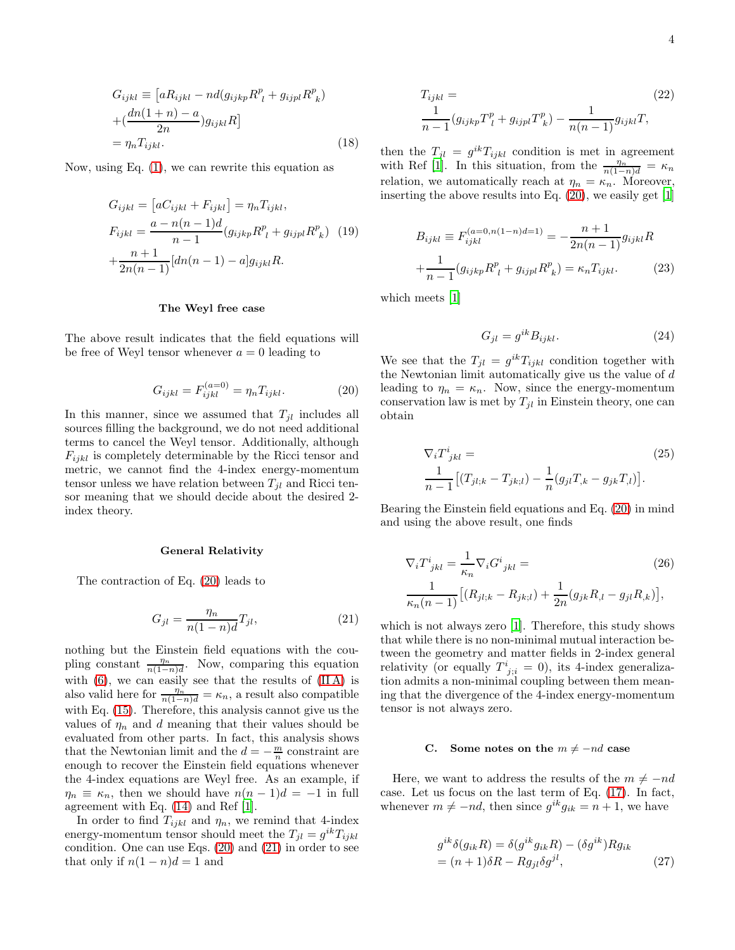$$
G_{ijkl} \equiv \left[aR_{ijkl} - nd(g_{ijkp}R^{p}_{\ l} + g_{ijpl}R^{p}_{\ k})\right] + \left(\frac{dn(1+n) - a}{2n}\right)g_{ijkl}R\right] = \eta_{n}T_{ijkl}.
$$
 (18)

Now, using Eq. [\(1\)](#page-1-4), we can rewrite this equation as

<span id="page-3-4"></span>
$$
G_{ijkl} = [aC_{ijkl} + F_{ijkl}] = \eta_n T_{ijkl},
$$
  
\n
$$
F_{ijkl} = \frac{a - n(n - 1)d}{n - 1} (g_{ijkp} R^p_{\ l} + g_{ijpl} R^p_{\ k})
$$
 (19)  
\n
$$
+ \frac{n + 1}{2n(n - 1)} [dn(n - 1) - a] g_{ijkl} R.
$$

#### The Weyl free case

The above result indicates that the field equations will be free of Weyl tensor whenever  $a = 0$  leading to

<span id="page-3-0"></span>
$$
G_{ijkl} = F_{ijkl}^{(a=0)} = \eta_n T_{ijkl}.
$$
 (20)

In this manner, since we assumed that  $T_{jl}$  includes all sources filling the background, we do not need additional terms to cancel the Weyl tensor. Additionally, although  $F_{ijkl}$  is completely determinable by the Ricci tensor and metric, we cannot find the 4-index energy-momentum tensor unless we have relation between  $T_{il}$  and Ricci tensor meaning that we should decide about the desired 2 index theory.

#### General Relativity

The contraction of Eq. [\(20\)](#page-3-0) leads to

<span id="page-3-1"></span>
$$
G_{jl} = \frac{\eta_n}{n(1-n)d} T_{jl},\tag{21}
$$

nothing but the Einstein field equations with the coupling constant  $\frac{\eta_n}{n(1-n)d}$ . Now, comparing this equation with  $(6)$ , we can easily see that the results of  $(II A)$  is also valid here for  $\frac{\eta_n}{n(1-n)d} = \kappa_n$ , a result also compatible with Eq. [\(15\)](#page-2-4). Therefore, this analysis cannot give us the values of  $\eta_n$  and d meaning that their values should be evaluated from other parts. In fact, this analysis shows that the Newtonian limit and the  $d = -\frac{m}{n}$  constraint are enough to recover the Einstein field equations whenever the 4-index equations are Weyl free. As an example, if  $\eta_n \equiv \kappa_n$ , then we should have  $n(n-1)d = -1$  in full agreement with Eq. [\(14\)](#page-2-5) and Ref [\[1](#page-6-0)].

In order to find  $T_{ijkl}$  and  $\eta_n$ , we remind that 4-index energy-momentum tensor should meet the  $T_{jl} = g^{ik} T_{ijkl}$ condition. One can use Eqs. [\(20\)](#page-3-0) and [\(21\)](#page-3-1) in order to see that only if  $n(1 - n)d = 1$  and

<span id="page-3-3"></span>
$$
T_{ijkl} = (22)
$$
  
\n
$$
\frac{1}{n-1} (g_{ijkp} T_l^p + g_{ijpl} T_k^p) - \frac{1}{n(n-1)} g_{ijkl} T,
$$

then the  $T_{jl} = g^{ik}T_{ijkl}$  condition is met in agreement with Ref [\[1](#page-6-0)]. In this situation, from the  $\frac{\eta_n}{n(1-n)d} = \kappa_n$ relation, we automatically reach at  $\eta_n = \kappa_n$ . Moreover, inserting the above results into Eq. [\(20\)](#page-3-0), we easily get [\[1](#page-6-0)]

$$
B_{ijkl} \equiv F_{ijkl}^{(a=0, n(1-n)d=1)} = -\frac{n+1}{2n(n-1)} g_{ijkl} R
$$

$$
+\frac{1}{n-1} (g_{ijkp} R^p_{\ l} + g_{ijpl} R^p_{\ k}) = \kappa_n T_{ijkl}.
$$
 (23)

which meets [\[1\]](#page-6-0)

<span id="page-3-6"></span>
$$
G_{jl} = g^{ik} B_{ijkl}.
$$
 (24)

We see that the  $T_{jl} = g^{ik} T_{ijkl}$  condition together with the Newtonian limit automatically give us the value of  $d$ leading to  $\eta_n = \kappa_n$ . Now, since the energy-momentum conservation law is met by  $T_{jl}$  in Einstein theory, one can obtain

$$
\nabla_i T^i_{jkl} =
$$
\n
$$
\frac{1}{n-1} \left[ (T_{jl;k} - T_{jk;l}) - \frac{1}{n} (g_{jl} T_{,k} - g_{jk} T_{,l}) \right].
$$
\n(25)

Bearing the Einstein field equations and Eq. [\(20\)](#page-3-0) in mind and using the above result, one finds

$$
\nabla_i T^i_{jkl} = \frac{1}{\kappa_n} \nabla_i G^i_{jkl} =
$$
\n
$$
\frac{1}{\kappa_n (n-1)} \left[ (R_{jl;k} - R_{jk;l}) + \frac{1}{2n} (g_{jk} R_{,l} - g_{jl} R_{,k}) \right],
$$
\n(26)

which is not always zero [\[1\]](#page-6-0). Therefore, this study shows that while there is no non-minimal mutual interaction between the geometry and matter fields in 2-index general relativity (or equally  $T^i_{j;i} = 0$ ), its 4-index generalization admits a non-minimal coupling between them meaning that the divergence of the 4-index energy-momentum tensor is not always zero.

#### <span id="page-3-5"></span>C. Some notes on the  $m \neq -nd$  case

Here, we want to address the results of the  $m \neq -nd$ case. Let us focus on the last term of Eq. [\(17\)](#page-2-6). In fact, whenever  $m \neq -nd$ , then since  $g^{ik}g_{ik} = n + 1$ , we have

<span id="page-3-2"></span>
$$
g^{ik}\delta(g_{ik}R) = \delta(g^{ik}g_{ik}R) - (\delta g^{ik})Rg_{ik}
$$
  
=  $(n+1)\delta R - Rg_{jl}\delta g^{jl}$ , (27)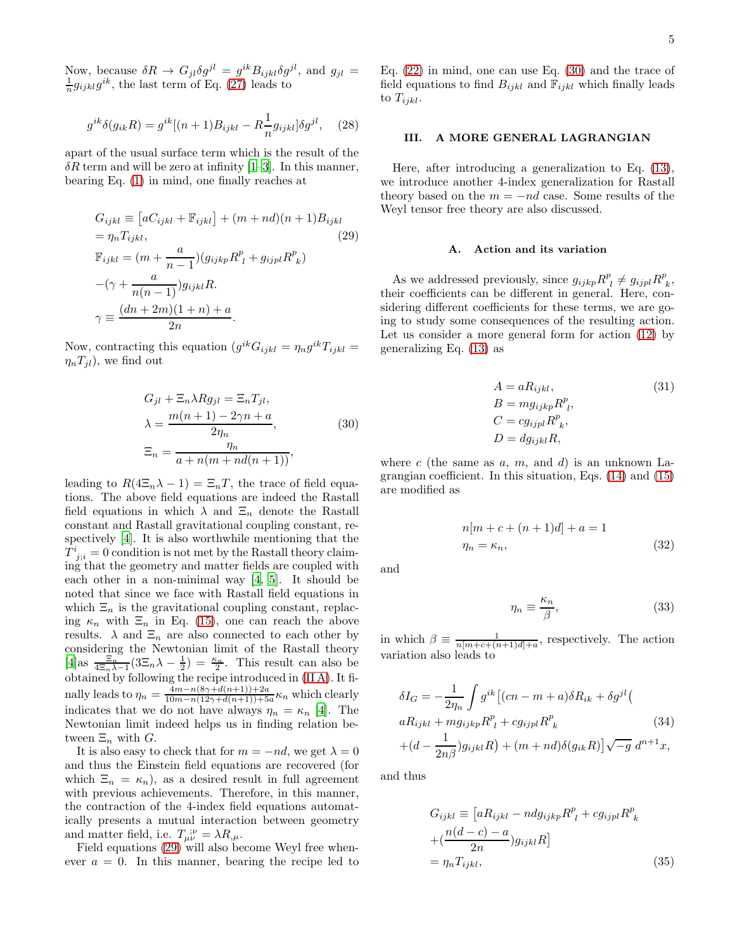Now, because  $\delta R \to G_{jl}\delta g^{jl} = g^{ik}B_{ijkl}\delta g^{jl}$ , and  $g_{jl} =$  $\frac{1}{n}g_{ijkl}g^{ik}$ , the last term of Eq. [\(27\)](#page-3-2) leads to

$$
g^{ik}\delta(g_{ik}R) = g^{ik}[(n+1)B_{ijkl} - R\frac{1}{n}g_{ijkl}]\delta g^{jl}, \quad (28)
$$

apart of the usual surface term which is the result of the  $\delta R$  term and will be zero at infinity [\[1](#page-6-0)[–3\]](#page-6-2). In this manner, bearing Eq. [\(1\)](#page-1-4) in mind, one finally reaches at

<span id="page-4-0"></span>
$$
G_{ijkl} \equiv [aC_{ijkl} + \mathbb{F}_{ijkl}] + (m + nd)(n + 1)B_{ijkl}
$$
  
=  $\eta_n T_{ijkl}$ , (29)  

$$
\mathbb{F}_{ijkl} = (m + \frac{a}{n-1})(g_{ijkp}R^p + g_{ijpl}R^p_k)
$$

$$
-(\gamma + \frac{a}{n(n-1)})g_{ijkl}R.
$$

$$
\gamma \equiv \frac{(dn + 2m)(1 + n) + a}{2n}.
$$

Now, contracting this equation  $(g^{ik}G_{ijkl} = \eta_n g^{ik}T_{ijkl} =$  $\eta_n T_{jl}$ , we find out

<span id="page-4-1"></span>
$$
G_{jl} + \Xi_n \lambda R g_{jl} = \Xi_n T_{jl},
$$
  
\n
$$
\lambda = \frac{m(n+1) - 2\gamma n + a}{2\eta_n},
$$
  
\n
$$
\Xi_n = \frac{\eta_n}{a + n(m + nd(n+1))},
$$
\n(30)

leading to  $R(4\Xi_n\lambda - 1) = \Xi_nT$ , the trace of field equations. The above field equations are indeed the Rastall field equations in which  $\lambda$  and  $\Xi_n$  denote the Rastall constant and Rastall gravitational coupling constant, respectively [\[4\]](#page-6-3). It is also worthwhile mentioning that the  $T^i_{\;j;i} = 0$  condition is not met by the Rastall theory claiming that the geometry and matter fields are coupled with each other in a non-minimal way [\[4,](#page-6-3) [5](#page-6-8)]. It should be noted that since we face with Rastall field equations in which  $\Xi_n$  is the gravitational coupling constant, replacing  $\kappa_n$  with  $\Xi_n$  in Eq. [\(15\)](#page-2-4), one can reach the above results.  $\lambda$  and  $\Xi_n$  are also connected to each other by considering the Newtonian limit of the Rastall theory  $[4]$ as  $\frac{\Xi_n}{4\Xi_n\lambda-1}(3\Xi_n\lambda-\frac{1}{2})=\frac{\kappa_n}{2}$ . This result can also be obtained by following the recipe introduced in [\(II A\)](#page-2-3). It finally leads to  $\eta_n = \frac{4m - n(8\gamma + d(n+1)) + 2a}{10m - n(12\gamma + d(n+1)) + 5}$  $\frac{4m-n(8\gamma+a(n+1))+2a}{10m-n(12\gamma+d(n+1))+5a}\kappa_n$  which clearly indicates that we do not have always  $\eta_n = \kappa_n$  [\[4](#page-6-3)]. The Newtonian limit indeed helps us in finding relation between  $\Xi_n$  with  $G$ .

It is also easy to check that for  $m = -nd$ , we get  $\lambda = 0$ and thus the Einstein field equations are recovered (for which  $\Xi_n = \kappa_n$ , as a desired result in full agreement with previous achievements. Therefore, in this manner, the contraction of the 4-index field equations automatically presents a mutual interaction between geometry and matter field, i.e.  $T_{\mu\nu}^{\;\;\mu} = \lambda R_{,\mu}$ .

Field equations [\(29\)](#page-4-0) will also become Weyl free whenever  $a = 0$ . In this manner, bearing the recipe led to Eq.  $(22)$  in mind, one can use Eq.  $(30)$  and the trace of field equations to find  $B_{ijkl}$  and  $\mathbb{F}_{ijkl}$  which finally leads to  $T_{ijkl}$ .

# III. A MORE GENERAL LAGRANGIAN

Here, after introducing a generalization to Eq. [\(13\)](#page-2-7), we introduce another 4-index generalization for Rastall theory based on the  $m = -nd$  case. Some results of the Weyl tensor free theory are also discussed.

#### A. Action and its variation

As we addressed previously, since  $g_{ijkp}R_{l}^{p} \neq g_{ijpl}R_{k}^{p}$ , their coefficients can be different in general. Here, considering different coefficients for these terms, we are going to study some consequences of the resulting action. Let us consider a more general form for action [\(12\)](#page-2-1) by generalizing Eq. [\(13\)](#page-2-7) as

<span id="page-4-2"></span>
$$
A = aR_{ijkl},
$$
  
\n
$$
B = mg_{ijkp}R^{p}_{\ l},
$$
  
\n
$$
C = cg_{ijpl}R^{p}_{\ k},
$$
  
\n
$$
D = dg_{ijkl}R,
$$
  
\n(31)

where c (the same as  $a, m$ , and  $d$ ) is an unknown Lagrangian coefficient. In this situation, Eqs. [\(14\)](#page-2-5) and [\(15\)](#page-2-4) are modified as

$$
n[m + c + (n+1)d] + a = 1
$$

$$
\eta_n = \kappa_n,
$$
 (32)

and

$$
\eta_n \equiv \frac{\kappa_n}{\beta},\tag{33}
$$

in which  $\beta \equiv \frac{1}{n[m+c+(n+1)d]+a}$ , respectively. The action variation also leads to

$$
\delta I_G = -\frac{1}{2\eta_n} \int g^{ik} \left[ (cn - m + a) \delta R_{ik} + \delta g^{jl} \right]
$$
  
\n
$$
aR_{ijkl} + m g_{ijkp} R^p_{\ l} + c g_{ijpl} R^p_{\ k} \qquad (34)
$$
  
\n
$$
+ (d - \frac{1}{2n\beta}) g_{ijkl} R \right) + (m + nd) \delta(g_{ik} R) \sqrt{-g} \ d^{n+1} x,
$$

and thus

$$
G_{ijkl} \equiv \left[aR_{ijkl} - ndg_{ijkp}R^{p}_{\ l} + cg_{ijpl}R^{p}_{\ k}\right] + \left(\frac{n(d-c) - a}{2n}\right)g_{ijkl}R\right]
$$

$$
= \eta_n T_{ijkl}, \tag{35}
$$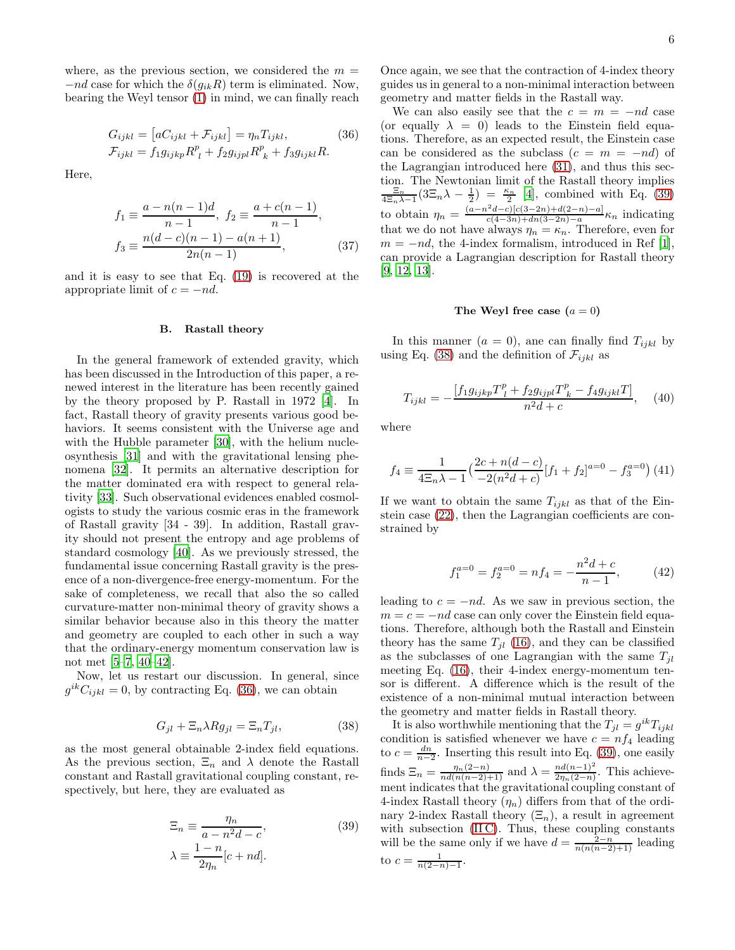where, as the previous section, we considered the  $m =$  $-nd$  case for which the  $\delta(g_{ik}R)$  term is eliminated. Now, bearing the Weyl tensor [\(1\)](#page-1-4) in mind, we can finally reach

<span id="page-5-0"></span>
$$
G_{ijkl} = [aC_{ijkl} + \mathcal{F}_{ijkl}] = \eta_n T_{ijkl},
$$
  
\n
$$
\mathcal{F}_{ijkl} = f_1 g_{ijkp} R^p_{\ l} + f_2 g_{ijpl} R^p_{\ k} + f_3 g_{ijkl} R.
$$
\n(36)

Here,

$$
f_1 \equiv \frac{a - n(n-1)d}{n-1}, \ f_2 \equiv \frac{a + c(n-1)}{n-1},
$$

$$
f_3 \equiv \frac{n(d-c)(n-1) - a(n+1)}{2n(n-1)}, \tag{37}
$$

and it is easy to see that Eq. [\(19\)](#page-3-4) is recovered at the appropriate limit of  $c = -nd$ .

# B. Rastall theory

In the general framework of extended gravity, which has been discussed in the Introduction of this paper, a renewed interest in the literature has been recently gained by the theory proposed by P. Rastall in 1972 [\[4](#page-6-3)]. In fact, Rastall theory of gravity presents various good behaviors. It seems consistent with the Universe age and with the Hubble parameter [\[30](#page-7-12)], with the helium nucleosynthesis [\[31](#page-7-13)] and with the gravitational lensing phenomena [\[32](#page-7-14)]. It permits an alternative description for the matter dominated era with respect to general relativity [\[33](#page-7-15)]. Such observational evidences enabled cosmologists to study the various cosmic eras in the framework of Rastall gravity [34 - 39]. In addition, Rastall gravity should not present the entropy and age problems of standard cosmology [\[40\]](#page-7-16). As we previously stressed, the fundamental issue concerning Rastall gravity is the presence of a non-divergence-free energy-momentum. For the sake of completeness, we recall that also the so called curvature-matter non-minimal theory of gravity shows a similar behavior because also in this theory the matter and geometry are coupled to each other in such a way that the ordinary-energy momentum conservation law is not met [\[5](#page-6-8)[–7](#page-6-9), [40](#page-7-16)[–42\]](#page-7-17).

Now, let us restart our discussion. In general, since  $g^{ik}C_{ijkl} = 0$ , by contracting Eq. [\(36\)](#page-5-0), we can obtain

<span id="page-5-2"></span>
$$
G_{jl} + \Xi_n \lambda R g_{jl} = \Xi_n T_{jl},\tag{38}
$$

as the most general obtainable 2-index field equations. As the previous section,  $\Xi_n$  and  $\lambda$  denote the Rastall constant and Rastall gravitational coupling constant, respectively, but here, they are evaluated as

<span id="page-5-1"></span>
$$
\Xi_n \equiv \frac{\eta_n}{a - n^2 d - c},
$$
\n
$$
\lambda \equiv \frac{1 - n}{2\eta_n} [c + nd].
$$
\n(39)

Once again, we see that the contraction of 4-index theory guides us in general to a non-minimal interaction between geometry and matter fields in the Rastall way.

We can also easily see that the  $c = m = -nd$  case (or equally  $\lambda = 0$ ) leads to the Einstein field equations. Therefore, as an expected result, the Einstein case can be considered as the subclass  $(c = m = -nd)$  of the Lagrangian introduced here [\(31\)](#page-4-2), and thus this section. The Newtonian limit of the Rastall theory implies  $\frac{\Xi_n}{4\Xi_n\lambda-1}(3\Xi_n\lambda-\frac{1}{2}) = \frac{\kappa_n}{2}$  [\[4](#page-6-3)], combined with Eq. [\(39\)](#page-5-1) to obtain  $\eta_n = \frac{(a-n^2d-c)[c(3-2n)+d(2-n)-a]}{c(4-3n)+dn(3-2n)-a}$  $\frac{(a-c)(c(s-2n)+a(s-n)-a)}{c(4-3n)+dn(3-2n)-a} \kappa_n$  indicating that we do not have always  $\eta_n = \kappa_n$ . Therefore, even for  $m = -nd$ , the 4-index formalism, introduced in Ref [\[1\]](#page-6-0), can provide a Lagrangian description for Rastall theory [\[9,](#page-6-5) [12,](#page-6-10) [13\]](#page-6-6).

# The Weyl free case  $(a = 0)$

In this manner  $(a = 0)$ , and can finally find  $T_{ijkl}$  by using Eq. [\(38\)](#page-5-2) and the definition of  $\mathcal{F}_{ijkl}$  as

<span id="page-5-3"></span>
$$
T_{ijkl} = -\frac{[f_1 g_{ijkp} T_l^p + f_2 g_{ijpl} T_k^p - f_4 g_{ijkl} T]}{n^2 d + c}, \quad (40)
$$

where

$$
f_4 \equiv \frac{1}{4\Xi_n \lambda - 1} \left(\frac{2c + n(d-c)}{-2(n^2d + c)} [f_1 + f_2]^{a=0} - f_3^{a=0}\right) (41)
$$

If we want to obtain the same  $T_{ijkl}$  as that of the Einstein case [\(22\)](#page-3-3), then the Lagrangian coefficients are constrained by

$$
f_1^{a=0} = f_2^{a=0} = n f_4 = -\frac{n^2 d + c}{n - 1},
$$
 (42)

leading to  $c = -nd$ . As we saw in previous section, the  $m = c = -nd$  case can only cover the Einstein field equations. Therefore, although both the Rastall and Einstein theory has the same  $T_{il}$  [\(16\)](#page-2-2), and they can be classified as the subclasses of one Lagrangian with the same  $T_{jl}$ meeting Eq. [\(16\)](#page-2-2), their 4-index energy-momentum tensor is different. A difference which is the result of the existence of a non-minimal mutual interaction between the geometry and matter fields in Rastall theory.

It is also worthwhile mentioning that the  $T_{jl} = g^{ik} T_{ijkl}$ condition is satisfied whenever we have  $c = nf_4$  leading to  $c = \frac{dn}{n-2}$ . Inserting this result into Eq. [\(39\)](#page-5-1), one easily finds  $\Xi_n = \frac{\eta_n(2-n)}{nd(n(n-2)+1)}$  and  $\lambda = \frac{nd(n-1)^2}{2\eta_n(2-n)}$  $\frac{na(n-1)}{2\eta_n(2-n)}$ . This achievement indicates that the gravitational coupling constant of 4-index Rastall theory  $(\eta_n)$  differs from that of the ordinary 2-index Rastall theory  $(\Xi_n)$ , a result in agreement with subsection (IIC). Thus, these coupling constants will be the same only if we have  $d = \frac{2-n}{n(n(n-2)+1)}$  leading to  $c = \frac{1}{n(2-n)-1}$ .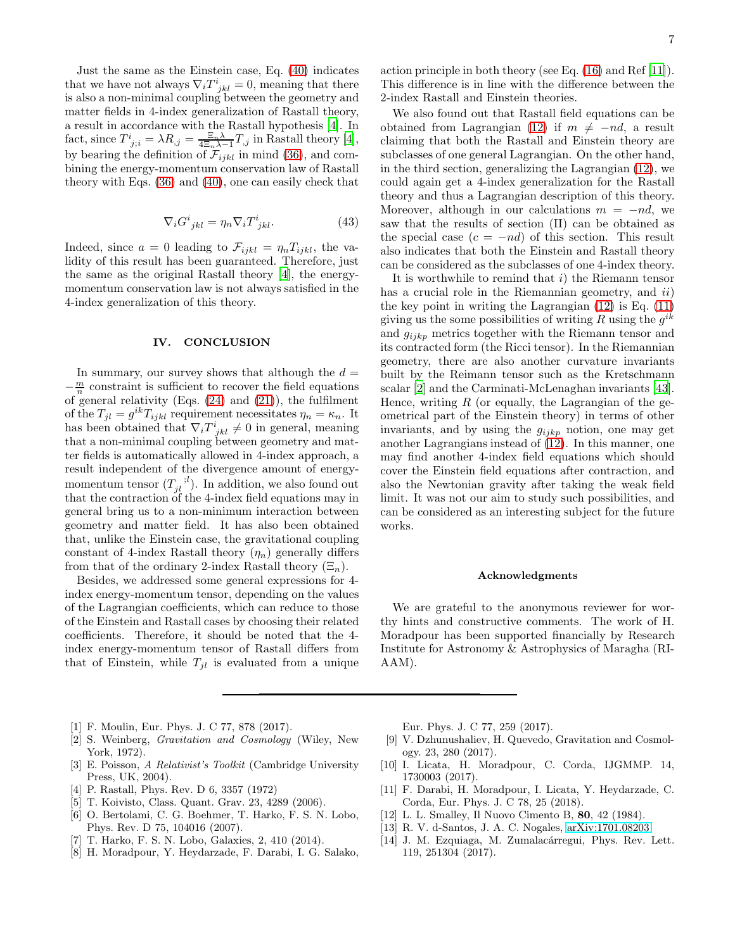Just the same as the Einstein case, Eq. [\(40\)](#page-5-3) indicates that we have not always  $\nabla_i T^i_{jkl} = 0$ , meaning that there is also a non-minimal coupling between the geometry and matter fields in 4-index generalization of Rastall theory, a result in accordance with the Rastall hypothesis [\[4](#page-6-3)]. In fact, since  $T^i_{j;i} = \lambda R_{,j} = \frac{\Xi_n \lambda}{4\Xi_n \lambda - 1} T_{,j}$  in Rastall theory [\[4\]](#page-6-3), by bearing the definition of  $\mathcal{F}_{ijkl}$  in mind [\(36\)](#page-5-0), and combining the energy-momentum conservation law of Rastall theory with Eqs. [\(36\)](#page-5-0) and [\(40\)](#page-5-3), one can easily check that

$$
\nabla_i G^i_{jkl} = \eta_n \nabla_i T^i_{jkl}.
$$
 (43)

Indeed, since  $a = 0$  leading to  $\mathcal{F}_{ijkl} = \eta_n T_{ijkl}$ , the validity of this result has been guaranteed. Therefore, just the same as the original Rastall theory [\[4\]](#page-6-3), the energymomentum conservation law is not always satisfied in the 4-index generalization of this theory.

### IV. CONCLUSION

In summary, our survey shows that although the  $d =$  $-\frac{m}{n}$  constraint is sufficient to recover the field equations of general relativity (Eqs. [\(24\)](#page-3-6) and [\(21\)](#page-3-1)), the fulfilment of the  $T_{jl} = g^{ik} T_{ijkl}$  requirement necessitates  $\eta_n = \kappa_n$ . It has been obtained that  $\nabla_i T^i_{jkl} \neq 0$  in general, meaning that a non-minimal coupling between geometry and matter fields is automatically allowed in 4-index approach, a result independent of the divergence amount of energymomentum tensor  $(T_{jl}^{\quad i'})$ . In addition, we also found out that the contraction of the 4-index field equations may in general bring us to a non-minimum interaction between geometry and matter field. It has also been obtained that, unlike the Einstein case, the gravitational coupling constant of 4-index Rastall theory  $(\eta_n)$  generally differs from that of the ordinary 2-index Rastall theory  $(\Xi_n)$ .

Besides, we addressed some general expressions for 4 index energy-momentum tensor, depending on the values of the Lagrangian coefficients, which can reduce to those of the Einstein and Rastall cases by choosing their related coefficients. Therefore, it should be noted that the 4 index energy-momentum tensor of Rastall differs from that of Einstein, while  $T_{jl}$  is evaluated from a unique

action principle in both theory (see Eq. [\(16\)](#page-2-2) and Ref [\[11\]](#page-6-4)). This difference is in line with the difference between the 2-index Rastall and Einstein theories.

We also found out that Rastall field equations can be obtained from Lagrangian [\(12\)](#page-2-1) if  $m \neq -nd$ , a result claiming that both the Rastall and Einstein theory are subclasses of one general Lagrangian. On the other hand, in the third section, generalizing the Lagrangian [\(12\)](#page-2-1), we could again get a 4-index generalization for the Rastall theory and thus a Lagrangian description of this theory. Moreover, although in our calculations  $m = -nd$ , we saw that the results of section (II) can be obtained as the special case  $(c = -nd)$  of this section. This result also indicates that both the Einstein and Rastall theory can be considered as the subclasses of one 4-index theory.

It is worthwhile to remind that  $i$ ) the Riemann tensor has a crucial role in the Riemannian geometry, and *ii*) the key point in writing the Lagrangian [\(12\)](#page-2-1) is Eq. [\(11\)](#page-2-0) giving us the some possibilities of writing R using the  $g^{ik}$ and  $g_{ijkp}$  metrics together with the Riemann tensor and its contracted form (the Ricci tensor). In the Riemannian geometry, there are also another curvature invariants built by the Reimann tensor such as the Kretschmann scalar [\[2](#page-6-1)] and the Carminati-McLenaghan invariants [\[43\]](#page-7-18). Hence, writing  $R$  (or equally, the Lagrangian of the geometrical part of the Einstein theory) in terms of other invariants, and by using the  $g_{ijkp}$  notion, one may get another Lagrangians instead of  $(12)$ . In this manner, one may find another 4-index field equations which should cover the Einstein field equations after contraction, and also the Newtonian gravity after taking the weak field limit. It was not our aim to study such possibilities, and can be considered as an interesting subject for the future works.

#### Acknowledgments

We are grateful to the anonymous reviewer for worthy hints and constructive comments. The work of H. Moradpour has been supported financially by Research Institute for Astronomy & Astrophysics of Maragha (RI-AAM).

- <span id="page-6-0"></span>[1] F. Moulin, Eur. Phys. J. C 77, 878 (2017).
- <span id="page-6-1"></span>[2] S. Weinberg, Gravitation and Cosmology (Wiley, New York, 1972).
- <span id="page-6-2"></span>[3] E. Poisson, A Relativist's Toolkit (Cambridge University Press, UK, 2004).
- <span id="page-6-3"></span>[4] P. Rastall, Phys. Rev. D 6, 3357 (1972)
- <span id="page-6-8"></span>[5] T. Koivisto, Class. Quant. Grav. 23, 4289 (2006).
- [6] O. Bertolami, C. G. Boehmer, T. Harko, F. S. N. Lobo, Phys. Rev. D 75, 104016 (2007).
- <span id="page-6-9"></span>[7] T. Harko, F. S. N. Lobo, Galaxies, 2, 410 (2014).
- [8] H. Moradpour, Y. Heydarzade, F. Darabi, I. G. Salako,

Eur. Phys. J. C 77, 259 (2017).

- <span id="page-6-5"></span>[9] V. Dzhunushaliev, H. Quevedo, Gravitation and Cosmology. 23, 280 (2017).
- [10] I. Licata, H. Moradpour, C. Corda, IJGMMP. 14, 1730003 (2017).
- <span id="page-6-4"></span>[11] F. Darabi, H. Moradpour, I. Licata, Y. Heydarzade, C. Corda, Eur. Phys. J. C 78, 25 (2018).
- <span id="page-6-10"></span>[12] L. L. Smalley, Il Nuovo Cimento B, 80, 42 (1984).
- <span id="page-6-6"></span>[13] R. V. d-Santos, J. A. C. Nogales, [arXiv:1701.08203.](http://arxiv.org/abs/1701.08203)
- <span id="page-6-7"></span>[14] J. M. Ezquiaga, M. Zumalacárregui, Phys. Rev. Lett. 119, 251304 (2017).